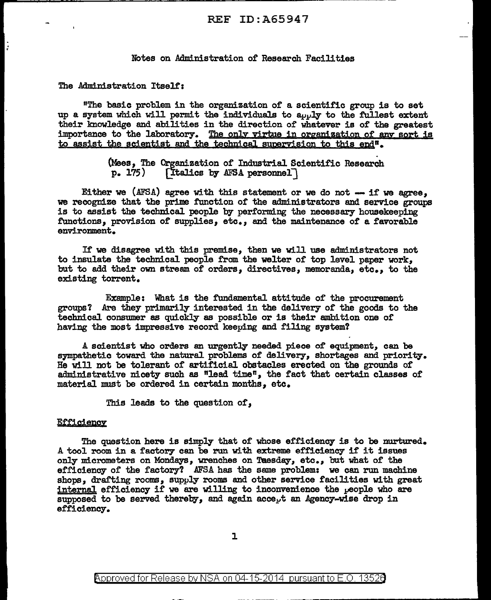## REF ID:A65947

### Notes on Administration of Research Facilities

The Administration Itself':

"The basic problem in the organization of a scientific group is to set up a system which will permit the individuals to apply to the fullest extent their knowledge and abilities in the direction of whatever is of the greatest importance to the laboratory. The only virtue in organization of any sort is to assist the scientist and the technical supervision to this end<sup>#</sup>.

(Mees, The Organization of Industrial Scientific Research  $p. 175$ ) [Italics by AFSA personnel]

Either we (AFSA) agree with this statement or we do not  $-$  if we agree, we recognize that the prime function of the administrators and service groups is to assist the technical people by performing the necessary housekeeping functions, provision of supplies, etc., and the maintenance of a favorable environment.

If we disagree with this premise, then we will use administrators not to insulate the technice1 people from the welter of top level paper work, but to add their own stream of orders, directives, memoranda, etc., to the existing torrent.

Example: What is the fundamental attitude of the procurement groups? Are they primarily interested in the delivery or the goods to the technice1 consumer as quickly as possible or is their ambition one of having the most impressive record keeping and filing system?

A scientist who orders an urgently needed piece of equipment, can be sympathetic toward the natural problems of delivery, shortages and priority. He will not be tolerant of' artificie1 obstacles erected on the grounds of administrative nicety such as "lead time", the fact that certain classes of material must be ordered in certain months, etc.

This leads to the question or,

### **Efficiency**

The question here is simply that of whose efficiency is to be nurtured. A tool room in a factory can be run with extreme efficiency if it issues only micrometers on Mondays, wrenches on Taesday, etc., but what of the efficiency of the factory? AFSA has the same problem: we can run machine shops. drafting rooms. supply rooms and other service facilities with great internal efficiency if we are willing to inconvenience the  $\rho$ eople who are supposed to be served thereby, and again accept an Agency-wise drop in efficiency.

1